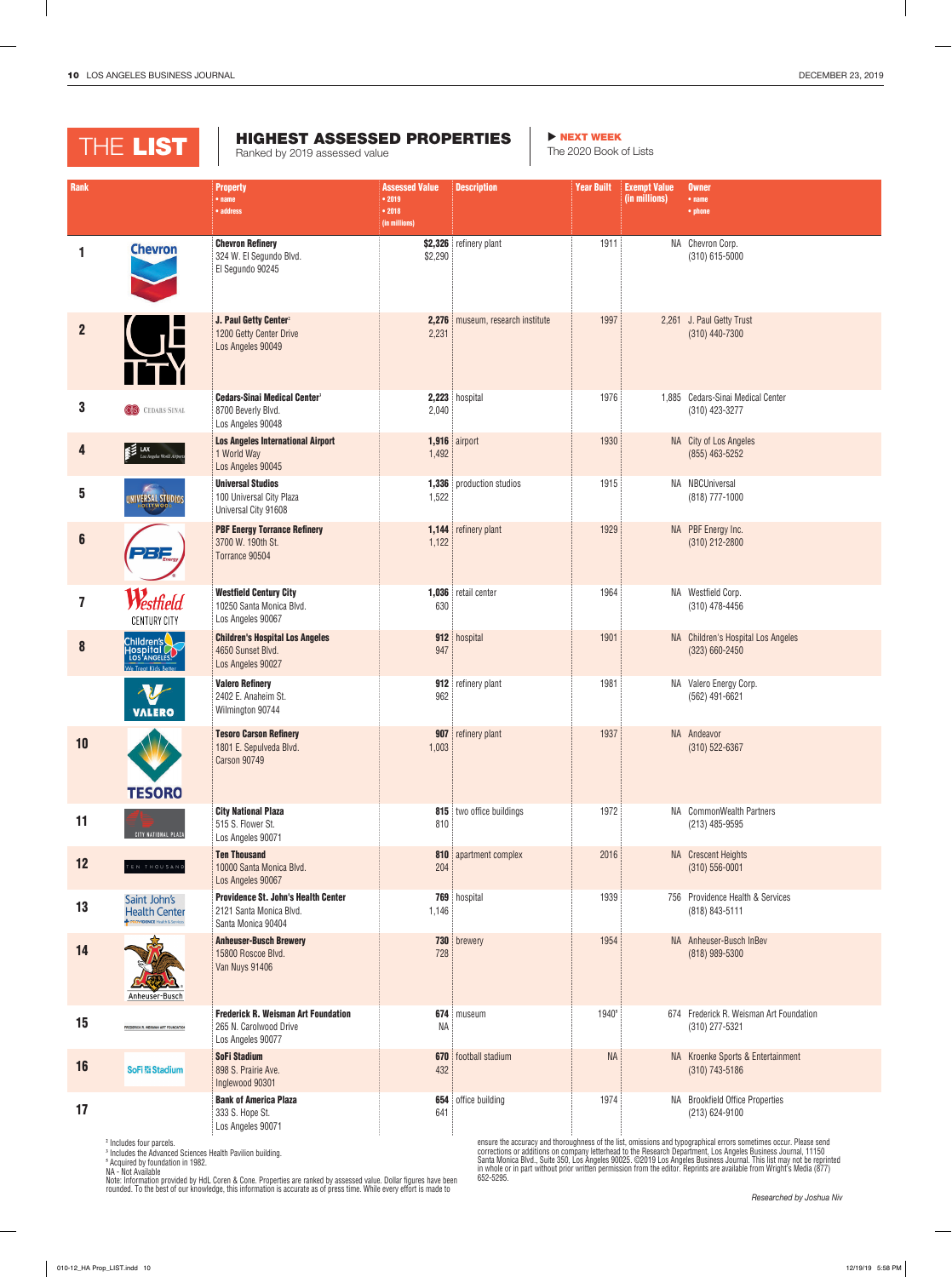| <b>Rank</b>             |                                                                                 | <b>Property</b><br>$•$ name<br>• address                                                    | <b>Assessed Value</b><br>• 2019<br>• 2018<br>(in millions) | <b>Description</b>               | <b>Year Built</b> | <b>Exempt Value</b><br>(in millions) | <b>Owner</b><br>$•$ name<br>• phone                       |
|-------------------------|---------------------------------------------------------------------------------|---------------------------------------------------------------------------------------------|------------------------------------------------------------|----------------------------------|-------------------|--------------------------------------|-----------------------------------------------------------|
| 1                       | <b>Chevron</b>                                                                  | <b>Chevron Refinery</b><br>324 W. El Segundo Blvd.<br>El Segundo 90245                      | \$2,290                                                    | \$2,326 refinery plant           | 1911              |                                      | NA Chevron Corp.<br>(310) 615-5000                        |
| $\overline{2}$          |                                                                                 | J. Paul Getty Center <sup>2</sup><br>1200 Getty Center Drive<br>Los Angeles 90049           | 2,231                                                      | 2,276 museum, research institute | 1997              |                                      | 2,261 J. Paul Getty Trust<br>(310) 440-7300               |
| $\boldsymbol{3}$        | <b>CS</b> CEDARS-SINAL                                                          | <b>Cedars-Sinai Medical Center<sup>3</sup></b><br>8700 Beverly Blvd.<br>Los Angeles 90048   | 2,040                                                      | 2,223 hospital                   | 1976              |                                      | 1,885 Cedars-Sinai Medical Center<br>(310) 423-3277       |
| 4                       | $\epsilon$ LAX<br>Los Angeles World Airports                                    | <b>Los Angeles International Airport</b><br>1 World Way<br>Los Angeles 90045                | 1,492                                                      | 1,916 airport                    | 1930              |                                      | NA City of Los Angeles<br>$(855)$ 463-5252                |
| 5                       | <b>NIVERSAL STUDIOS</b>                                                         | <b>Universal Studios</b><br>100 Universal City Plaza<br>Universal City 91608                | 1,522                                                      | <b>1,336</b> production studios  | 1915              |                                      | NA NBCUniversal<br>(818) 777-1000                         |
| $6\phantom{1}$          | -252                                                                            | <b>PBF Energy Torrance Refinery</b><br>3700 W. 190th St.<br>Torrance 90504                  | 1,122                                                      | 1,144 refinery plant             | 1929              |                                      | NA   PBF Energy Inc.<br>(310) 212-2800                    |
| $\overline{\mathbf{z}}$ | Westfield<br><b>CENTURY CITY</b>                                                | <b>Westfield Century City</b><br>10250 Santa Monica Blvd.<br>Los Angeles 90067              | 630                                                        | 1,036 retail center              | 1964              |                                      | NA Westfield Corp.<br>$(310)$ 478-4456                    |
| 8                       | Children's<br>Hospital<br>Los Angeles<br>We Treat Kids Better                   | <b>Children's Hospital Los Angeles</b><br>4650 Sunset Blvd.<br>Los Angeles 90027            | 947                                                        | 912 hospital                     | 1901              |                                      | NA Children's Hospital Los Angeles<br>(323) 660-2450      |
|                         | <b>VALERO</b>                                                                   | <b>Valero Refinery</b><br>2402 E. Anaheim St.<br>Wilmington 90744                           | 962                                                        | 912 refinery plant               | 1981              |                                      | NA Valero Energy Corp.<br>(562) 491-6621                  |
| 10                      | <b>TESORO</b>                                                                   | <b>Tesoro Carson Refinery</b><br>1801 E. Sepulveda Blvd.<br><b>Carson 90749</b>             | 1,003                                                      | 907 refinery plant               | 1937              |                                      | NA Andeavor<br>(310) 522-6367                             |
| 11                      | CITY NATIONAL PLAZA                                                             | <b>City National Plaza</b><br>515 S. Flower St.<br>Los Angeles 90071                        | 810                                                        | 815 two office buildings         | 1972              |                                      | NA CommonWealth Partners<br>(213) 485-9595                |
| 12                      | TEN THOUSAND                                                                    | <b>Ten Thousand</b><br>10000 Santa Monica Blvd.<br>Los Angeles 90067                        | 204                                                        | 810 apartment complex            | 2016              |                                      | NA Crescent Heights<br>$(310) 556 - 0001$                 |
| 13                      | Saint John's<br><b>Health Center</b><br><b>PROVIDENCE Health &amp; Services</b> | <b>Providence St. John's Health Center</b><br>2121 Santa Monica Blvd.<br>Santa Monica 90404 | 1,146                                                      | 769 hospital                     | 1939              |                                      | 756 Providence Health & Services<br>(818) 843-5111        |
| 14                      | Anheuser-Busch                                                                  | <b>Anheuser-Busch Brewery</b><br>15800 Roscoe Blvd.<br>Van Nuys 91406                       | 728                                                        | 730 brewery                      | 1954              |                                      | NA Anheuser-Busch InBev<br>(818) 989-5300                 |
| 15                      | FREDERICK R. WEISMAN ART FOUNDATION                                             | <b>Frederick R. Weisman Art Foundation</b><br>265 N. Carolwood Drive<br>Los Angeles 90077   | ΝA                                                         | 674 museum                       | 1940 <sup>5</sup> |                                      | 674 Frederick R. Weisman Art Foundation<br>(310) 277-5321 |
| 16                      | <b>SoFi &amp; Stadium</b>                                                       | <b>SoFi Stadium</b><br>898 S. Prairie Ave.<br>Inglewood 90301                               | 432                                                        | <b>670</b> football stadium      | <b>NA</b>         |                                      | NA Kroenke Sports & Entertainment<br>$(310)$ 743-5186     |
| 17                      |                                                                                 | <b>Bank of America Plaza</b><br>333 S. Hope St.<br>Los Angeles 90071                        | 641                                                        | <b>654</b> office building       | 1974              |                                      | NA Brookfield Office Properties<br>(213) 624-9100         |

652-5295.

**<sup>2</sup>** Includes four parcels.

**<sup>3</sup>** Includes the Advanced Sciences Health Pavilion building.

**<sup>5</sup>** Acquired by foundation in 1982.

NA - Not Available Note: Information provided by HdL Coren & Cone. Properties are ranked by assessed value. Dollar figures have been rounded. To the best of our knowledge, this information is accurate as of press time. While every effort is made to

ensure the accuracy and thoroughness of the list, omissions and typographical errors sometimes occur. Please send corrections or additions on company letterhead to the Research Department, Los Angeles Business Journal, 11150 Santa Monica Blvd., Suite 350, Los Angeles 90025. ©2019 Los Angeles Business Journal. This list may not be reprinted in whole or in part without prior written permission from the editor. Reprints are available from Wright's Media (877)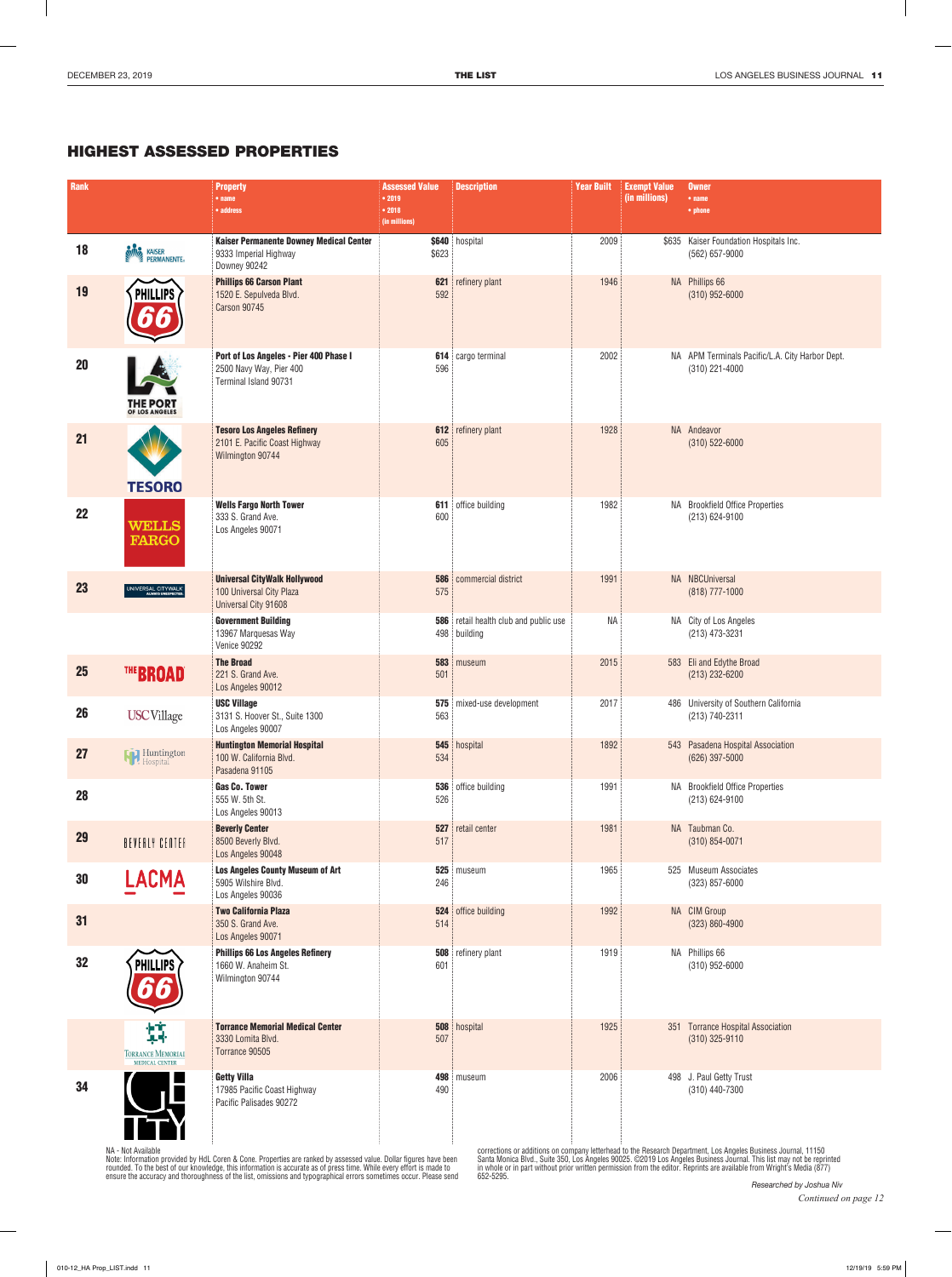## HIGHEST ASSESSED PROPERTIES

| <b>Rank</b> |                                                        | <b>Property</b><br>$•$ name                                                                | <b>Assessed Value</b><br>• 2019 | <b>Description</b>                                | <b>Year Built</b> | <b>Exempt Value</b><br>(in millions) | <b>Owner</b><br>$•$ name                                            |
|-------------|--------------------------------------------------------|--------------------------------------------------------------------------------------------|---------------------------------|---------------------------------------------------|-------------------|--------------------------------------|---------------------------------------------------------------------|
|             |                                                        | • address                                                                                  | • 2018<br>(in millions)         |                                                   |                   |                                      | • phone                                                             |
| 18          | <b>KING</b> KAISER                                     | Kaiser Permanente Downey Medical Center<br>9333 Imperial Highway<br>Downey 90242           | \$623                           | \$640 hospital                                    | 2009              |                                      | \$635 Kaiser Foundation Hospitals Inc.<br>(562) 657-9000            |
| 19          | <b>PHILLIPS</b>                                        | <b>Phillips 66 Carson Plant</b><br>1520 E. Sepulveda Blvd.<br><b>Carson 90745</b>          | 621<br>592                      | refinery plant                                    | 1946              |                                      | NA Phillips 66<br>$(310)$ 952-6000                                  |
| 20          | <b>THE PORT</b><br>OF LOS ANGELES                      | Port of Los Angeles - Pier 400 Phase I<br>2500 Navy Way, Pier 400<br>Terminal Island 90731 | 596                             | 614 cargo terminal                                | 2002              |                                      | NA   APM Terminals Pacific/L.A. City Harbor Dept.<br>(310) 221-4000 |
| 21          | <b>TESORO</b>                                          | <b>Tesoro Los Angeles Refinery</b><br>2101 E. Pacific Coast Highway<br>Wilmington 90744    | 612<br>605                      | refinery plant                                    | 1928              |                                      | NA Andeavor<br>$(310) 522 - 6000$                                   |
| 22          | <b>WELLS</b><br><b>FARGO</b>                           | <b>Wells Fargo North Tower</b><br>333 S. Grand Ave.<br>Los Angeles 90071                   | 611<br>600                      | office building                                   | 1982              |                                      | NA Brookfield Office Properties<br>(213) 624-9100                   |
| 23          | UNIVERSAL CITYWALK                                     | <b>Universal CityWalk Hollywood</b><br>100 Universal City Plaza<br>Universal City 91608    | 586<br>575                      | commercial district                               | 1991              |                                      | NA NBCUniversal<br>(818) 777-1000                                   |
|             |                                                        | <b>Government Building</b><br>13967 Marquesas Way<br>Venice 90292                          | 586                             | retail health club and public use<br>498 building | <b>NA</b>         |                                      | NA City of Los Angeles<br>(213) 473-3231                            |
| 25          | THE BROAD®                                             | <b>The Broad</b><br>221 S. Grand Ave.<br>Los Angeles 90012                                 | 501                             | 583 museum                                        | 2015              |                                      | 583 Eli and Edythe Broad<br>$(213)$ 232-6200                        |
| 26          | <b>USC</b> Village                                     | <b>USC Village</b><br>3131 S. Hoover St., Suite 1300<br>Los Angeles 90007                  | 575<br>563                      | mixed-use development                             | 2017              |                                      | 486 University of Southern California<br>(213) 740-2311             |
| 27          | <b>Huntington</b>                                      | <b>Huntington Memorial Hospital</b><br>100 W. California Blvd.<br>Pasadena 91105           | 545<br>534                      | hospital                                          | 1892              |                                      | 543 Pasadena Hospital Association<br>$(626)$ 397-5000               |
| 28          |                                                        | <b>Gas Co. Tower</b><br>555 W. 5th St.<br>Los Angeles 90013                                | 526                             | 536 office building                               | 1991              |                                      | NA Brookfield Office Properties<br>(213) 624-9100                   |
| 29          | BEVERLY CENTER                                         | <b>Beverly Center</b><br>8500 Beverly Blvd.<br>Los Angeles 90048                           | 527<br>517                      | retail center                                     | 1981              |                                      | NA Taubman Co.<br>$(310) 854 - 0071$                                |
| 30          | <b>LACMA</b>                                           | <b>Los Angeles County Museum of Art</b><br>5905 Wilshire Blvd.<br>Los Angeles 90036        | 525<br>246                      | museum                                            | 1965              |                                      | 525 Museum Associates<br>$(323)$ 857-6000                           |
| 31          |                                                        | <b>Two California Plaza</b><br>350 S. Grand Ave.<br>Los Angeles 90071                      | 524<br>514                      | office building                                   | 1992              |                                      | NA CIM Group<br>$(323) 860 - 4900$                                  |
| 32          | <b>PHILLIPS</b>                                        | <b>Phillips 66 Los Angeles Refinery</b><br>1660 W. Anaheim St.<br>Wilmington 90744         | 508<br>601                      | refinery plant                                    | 1919              |                                      | NA Phillips 66<br>$(310)$ 952-6000                                  |
|             | 鏄<br><b>TORRANCE MEMORIAL</b><br><b>MEDICAL CENTER</b> | <b>Torrance Memorial Medical Center</b><br>3330 Lomita Blvd.<br>Torrance 90505             | 508<br>507                      | hospital                                          | 1925              |                                      | 351 Torrance Hospital Association<br>$(310)$ 325-9110               |
| 34          |                                                        | <b>Getty Villa</b><br>17985 Pacific Coast Highway<br>Pacific Palisades 90272               | 498<br>490                      | museum                                            | 2006              |                                      | 498 J. Paul Getty Trust<br>(310) 440-7300                           |

NA - Not Available<br>Note: Information provided by HdL Coren & Cone. Properties are ranked by assessed value. Dollar figures have been<br>rounded. To the best of our knowledge, this information is accurate as of press time. Whi

corrections or additions on company letterhead to the Research Department, Los Angeles Business Journal, 11150<br>Santa Monica Blvd., Suite 350, Los Angeles 90025. ©2019 Los Angeles Business Journal. This list may not be rep